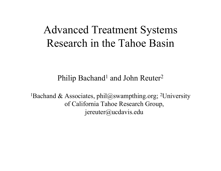# Advanced Treatment Systems Research in the Tahoe Basin

Philip Bachand<sup>1</sup> and John Reuter<sup>2</sup>

<sup>1</sup>Bachand & Associates, phil@swampthing.org; <sup>2</sup>University of California Tahoe Research Group, jereuter@ucdavis.edu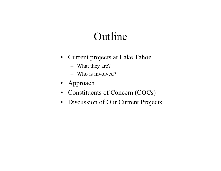# Outline

- Current projects at Lake Tahoe
	- What they are?
	- Who is involved?
- Approach
- Constituents of Concern (COCs)
- Discussion of Our Current Projects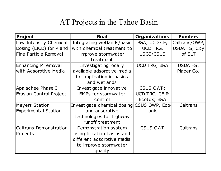## AT Projects in the Tahoe Basin

| <b>Project</b>                 | Goal                            | <b>Organizations</b> | <b>Funders</b> |
|--------------------------------|---------------------------------|----------------------|----------------|
| Low Intensity Chemical         | Integrating wetlands/basin      | B&A, UCD CE,         | Caltrans/OWP,  |
| Dosing (LICD) for P and        | with chemical treatment to      | UCD TRG,             | USDA FS, City  |
| Fine Particle Removal          | improve stormwater<br>treatment | USGS/CSUS            | of SLT         |
| Enhancing P removal            | Investigating locally           | UCD TRG, B&A         | USDA FS,       |
| with Adsorptive Media          | available adsorptive media      |                      | Placer Co.     |
|                                | for application in basins       |                      |                |
|                                | and wetlands                    |                      |                |
| Apalachee Phase I              | Investigate innovative          | <b>CSUS OWP;</b>     |                |
| <b>Erosion Control Project</b> | <b>BMPs for stormwater</b>      | UCD TRG, CE &        |                |
|                                | control                         | Ecotox; B&A          |                |
| <b>Meyers Station</b>          | Investigate chemical dosing     | CSUS OWP, Eco-       | Caltrans       |
| <b>Experimental Station</b>    | and adsorptive                  | logic                |                |
|                                | technologies for highway        |                      |                |
|                                | runoff treatment                |                      |                |
| <b>Caltrans Demonstration</b>  | Demonstration system            | <b>CSUS OWP</b>      | Caltrans       |
| Projects                       | using filtration basins and     |                      |                |
|                                | different adsorptive media      |                      |                |
|                                | to improve stormwater           |                      |                |
|                                | quality                         |                      |                |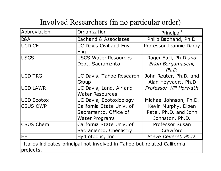## Involved Researchers (in no particular order)

| Abbreviation                                                                                       | Organization                                                         | Principal                                                       |  |  |  |
|----------------------------------------------------------------------------------------------------|----------------------------------------------------------------------|-----------------------------------------------------------------|--|--|--|
| B&A                                                                                                | Bachand & Associates                                                 | Philip Bachand, Ph.D.                                           |  |  |  |
| <b>UCD CE</b>                                                                                      | UC Davis Civil and Env.<br>Eng.                                      | Professor Jeannie Darby                                         |  |  |  |
| <b>USGS</b>                                                                                        | <b>USGS Water Resources</b><br>Dept, Sacramento                      | Roger Fujii, Ph.D and<br>Brian Bergamaschi,<br>Ph.D.            |  |  |  |
| <b>UCD TRG</b>                                                                                     | UC Davis, Tahoe Research<br>Group                                    | John Reuter, Ph.D. and<br>Alan Heyvaert, Ph.D                   |  |  |  |
| <b>UCD LAWR</b>                                                                                    | UC Davis, Land, Air and<br><b>Water Resources</b>                    | Professor Will Horwath                                          |  |  |  |
| <b>UCD Ecotox</b>                                                                                  | UC Davis, Ecotoxicology                                              | Michael Johnson, Ph.D.                                          |  |  |  |
| <b>CSUS OWP</b>                                                                                    | California State Univ. of<br>Sacramento, Office of<br>Water Programs | Kevin Murphy, Dipen<br>Patel, Ph.D. and John<br>Johnston, Ph.D. |  |  |  |
| <b>CSUS Chem</b>                                                                                   | California State Univ. of<br>Sacramento, Chemistry                   | <b>Professor Susan</b><br>Crawford                              |  |  |  |
| <b>HF</b>                                                                                          | Hydrofocus, Inc                                                      | Steve Deverel, Ph.D.                                            |  |  |  |
| <sup>1</sup> Italics indicates principal not involved in Tahoe but related California<br>projects. |                                                                      |                                                                 |  |  |  |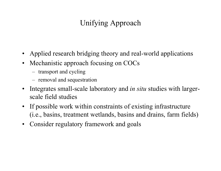## Unifying Approach

- Applied research bridging theory and real-world applications
- Mechanistic approach focusing on COCs
	- transport and cycling
	- –removal and sequestration
- $\bullet$  Integrates small-scale laboratory and *in situ* studies with largerscale field studies
- If possible work within constraints of existing infrastructure (i.e., basins, treatment wetlands, basins and drains, farm fields)
- Consider regulatory framework and goals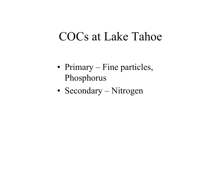# COCs at Lake Tahoe

- Primary Fine particles, Phosphorus
- Secondary Nitrogen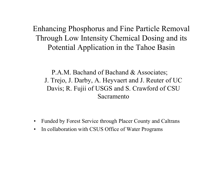Enhancing Phosphorus and Fine Particle Removal Through Low Intensity Chemical Dosing and its Potential Application in the Tahoe Basin

P.A.M. Bachand of Bachand & Associates; J. Trejo, J. Darby, A. Heyvaert and J. Reuter of UC Davis; R. Fujii of USGS and S. Crawford of CSU Sacramento

- $\bullet$ Funded by Forest Service through Placer County and Caltrans
- $\bullet$ In collaboration with CSUS Office of Water Programs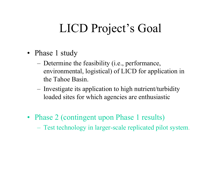# LICD Project's Goal

- Phase 1 study
	- – Determine the feasibility (i.e., performance, environmental, logistical) of LICD for application in the Tahoe Basin.
	- – Investigate its application to high nutrient/turbidity loaded sites for which agencies are enthusiastic
- Phase 2 (contingent upon Phase 1 results)
	- Test technology in larger-scale replicated pilot system.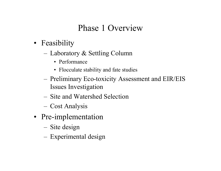## Phase 1 Overview

- Feasibility
	- – Laboratory & Settling Column
		- Performance
		- Flocculate stability and fate studies
	- – Preliminary Eco-toxicity Assessment and EIR/EIS Issues Investigation
	- Site and Watershed Selection
	- –Cost Analysis
- Pre-implementation
	- –Site design
	- –Experimental design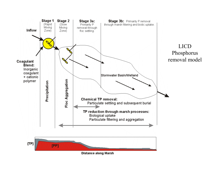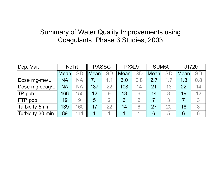#### Summary of Water Quality Improvements using Coagulants, Phase 3 Studies, 2003

| Dep. Var.        | <b>NoTrt</b> |           | <b>PASSC</b> |                | PXXL9 |                | <b>SUM50</b> |           | J1720 |           |
|------------------|--------------|-----------|--------------|----------------|-------|----------------|--------------|-----------|-------|-----------|
|                  | Mean         | <b>SD</b> | <b>Mean</b>  | <b>SD</b>      | Mean  | <b>SD</b>      | Mean         | <b>SD</b> | Mean  | <b>SD</b> |
| Dose mg-me/L     | <b>NA</b>    | <b>NA</b> | 7.1          | 1.1            | 6.0   | 0.8            | 2.7          | 1.7       | 1.3   | 0.8       |
| Dose mg-coag/L   | <b>NA</b>    | <b>NA</b> | 137          | 22             | 108   | 14             | 21           | 13        | 22    | 14        |
| <b>TP</b> ppb    | 166          | 150       | 12           | 9              | 18    | 6              | 14           | 8         | 19    | 12        |
| <b>FTP</b> ppb   | 19           | 9         | 5            | $\overline{2}$ | 6     | $\overline{2}$ |              | 3         | 7     | 3         |
| Turbidity 5min   | 139          | 160       | 17           | 22             | 14    | 6              | 27           | 20        | 18    | 8         |
| Turbidity 30 min | 89           | 111       |              |                |       |                | 6            | 5         | 6     | 6         |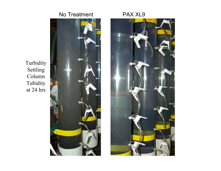



Turbidity Settling Column Tubidity at 24 hrs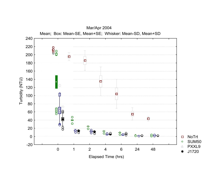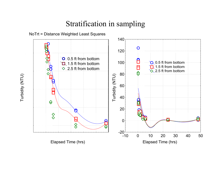#### Stratification in sampling



Turbidity (NTU)

Turbidity (NTU)

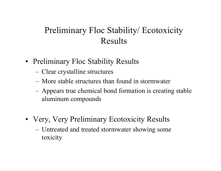## Preliminary Floc Stability/ Ecotoxicity Results

- Preliminary Floc Stability Results
	- –Clear crystalline structures
	- More stable structures than found in stormwater
	- – Appears true chemical bond formation is creating stable aluminum compounds
- Very, Very Preliminary Ecotoxicity Results
	- – Untreated and treated stormwater showing some toxicity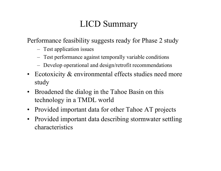## LICD Summary

Performance feasibility suggests ready for Phase 2 study

- Test application issues
- –Test performance against temporally variable conditions
- –Develop operational and design/retrofit recommendations
- Ecotoxicity & environmental effects studies need more study
- $\bullet$  Broadened the dialog in the Tahoe Basin on this technology in a TMDL world
- Provided important data for other Tahoe AT projects
- $\bullet$  Provided important data describing stormwater settling characteristics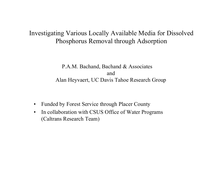#### Investigating Various Locally Available Media for Dissolved Phosphorus Removal through Adsorption

P.A.M. Bachand, Bachand & Associates andAlan Heyvaert, UC Davis Tahoe Research Group

- $\bullet$ Funded by Forest Service through Placer County
- • In collaboration with CSUS Office of Water Programs (Caltrans Research Team)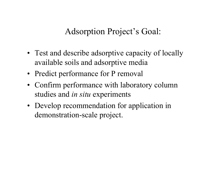Adsorption Project's Goal:

- Test and describe adsorptive capacity of locally available soils and adsorptive media
- Predict performance for P removal
- Confirm performance with laboratory column studies and *in situ* experiments
- Develop recommendation for application in demonstration-scale project.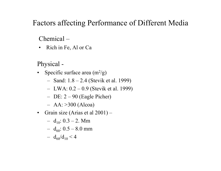#### Factors affecting Performance of Different Media

#### Chemical –

• Rich in Fe, Al or Ca

Physical -

- Specific surface area  $(m^2/g)$ 
	- –Sand: 1.8 – 2.4 (Stevik et al. 1999)
	- –LWA: 0.2 – 0.9 (Stevik et al. 1999)
	- DE: 2 90 (Eagle Picher)
	- AA: >300 (Alcoa)
- Grain size (Arias et al 2001)
	- d $_{10}$ : 0.3 2. Mm
	- –d $_{60}$ : 0.5 – 8.0 mm
	- – $d_{60}/d_{10} < 4$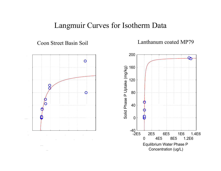#### Langmuir Curves for Isotherm Data

Coon Street Basin Soil

Lanthanum coated MP79

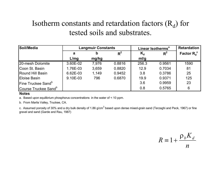#### Isotherm constants and retardation factors  $(R_d)$  for tested soils and substrates.

| Soil/Media                            | <b>Langmuir Constants</b> |       |        | Linear Isotherms <sup>a</sup> | <b>Retardation</b> |                |
|---------------------------------------|---------------------------|-------|--------|-------------------------------|--------------------|----------------|
|                                       | а                         | b     | $R^2$  | $\mathbf{K}_{\mathbf{d}}$     | $R^2$              | Factor $R_d^c$ |
|                                       | L/mq                      | mg/kg |        | ml/g                          |                    |                |
| 20-mesh Dolomite                      | 3.60E-02                  | 7,976 | 0.8816 | 256.3                         | 0.9561             | 1590           |
| Coon St. Basin                        | 1.76E-03                  | 3,659 | 0.8820 | 12.9                          | 0.7034             | 81             |
| <b>Round Hill Basin</b>               | 6.62E-03                  | 1,149 | 0.9452 | 3.8                           | 0.3786             | 25             |
| Eloise Basin                          | 9.10E-03                  | 796   | 0.6870 | 19.9                          | 0.9371             | 125            |
| <b>Fine Truckee Sand</b> <sup>b</sup> |                           |       |        | 3.6                           | 0.9959             | 23             |
| Course Truckee Sand <sup>b</sup>      |                           |       |        | 0.8                           | 0.5765             | 6              |

#### **Notes**

a. Based upon equilibrium phosphorus concentrations in the water of < 10 ppm.

b. From Martis Valley, Truckee, CA.

c. Assumed porosity of 30% and a dry bulk density of 1.86 g/cm<sup>3</sup> based upon dense mixed-grain sand (Terzaghi and Peck, 1967) or fine gravel and sand (Garde and Rau, 1987)

*n* $R \equiv 1 + \frac{\rho_b K}{\rho_b}$  $\equiv 1 + \frac{\rho_b K_d}{\rho_b}$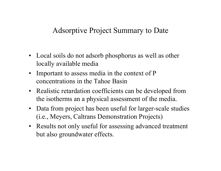#### Adsorptive Project Summary to Date

- Local soils do not adsorb phosphorus as well as other locally available media
- • Important to assess media in the context of P concentrations in the Tahoe Basin
- Realistic retardation coefficients can be developed from the isotherms an a physical assessment of the media.
- $\bullet$  Data from project has been useful for larger-scale studies (i.e., Meyers, Caltrans Demonstration Projects)
- Results not only useful for assessing advanced treatment but also groundwater effects.